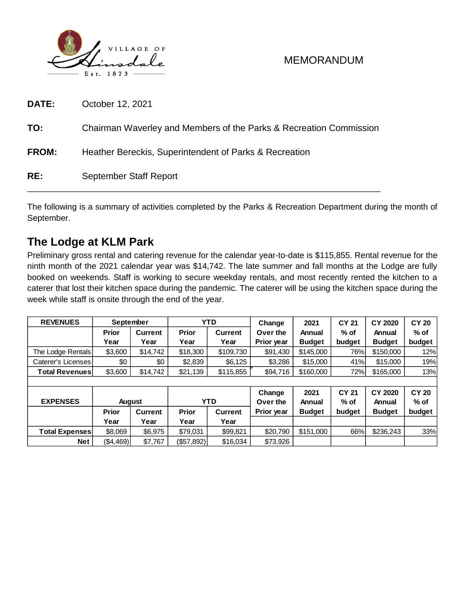

| DATE:        | October 12, 2021                                                   |
|--------------|--------------------------------------------------------------------|
| TO:          | Chairman Waverley and Members of the Parks & Recreation Commission |
| <b>FROM:</b> | Heather Bereckis, Superintendent of Parks & Recreation             |
| RE:          | September Staff Report                                             |

The following is a summary of activities completed by the Parks & Recreation Department during the month of September.

# **The Lodge at KLM Park**

Preliminary gross rental and catering revenue for the calendar year-to-date is \$115,855. Rental revenue for the ninth month of the 2021 calendar year was \$14,742. The late summer and fall months at the Lodge are fully booked on weekends. Staff is working to secure weekday rentals, and most recently rented the kitchen to a caterer that lost their kitchen space during the pandemic. The caterer will be using the kitchen space during the week while staff is onsite through the end of the year.

| <b>REVENUES</b>       | September     |                | <b>YTD</b>            |                | Change     | 2021          | <b>CY 21</b> | <b>CY 2020</b> | <b>CY 20</b> |  |
|-----------------------|---------------|----------------|-----------------------|----------------|------------|---------------|--------------|----------------|--------------|--|
|                       | <b>Prior</b>  | <b>Current</b> | <b>Prior</b>          | <b>Current</b> | Over the   | Annual        | $%$ of       | Annual         | % of         |  |
|                       | Year          | Year           | Year                  | Year           | Prior year | <b>Budget</b> | budget       | <b>Budget</b>  | budget       |  |
| The Lodge Rentals     | \$3,600       | \$14,742       | \$18,300<br>\$109,730 |                | \$91,430   | \$145,000     | 76%          | \$150,000      | 12%          |  |
| Caterer's Licenses    | \$0           | \$0            | \$2,839               | \$6,125        | \$3,286    | \$15,000      | 41%          | \$15,000       | 19%          |  |
| <b>Total Revenues</b> | \$3,600       | \$14,742       | \$21,139<br>\$115,855 |                | \$94,716   | \$160,000     | 72%          | \$165,000      | 13%          |  |
|                       |               |                |                       |                |            |               |              |                |              |  |
|                       |               |                |                       |                | Change     | 2021          | <b>CY 21</b> | <b>CY 2020</b> | <b>CY 20</b> |  |
| <b>EXPENSES</b>       | <b>August</b> |                | <b>YTD</b>            |                | Over the   | Annual        | $%$ of       | Annual         | $%$ of       |  |
|                       | <b>Prior</b>  | <b>Current</b> | Prior                 | <b>Current</b> | Prior year | <b>Budget</b> | budget       | <b>Budget</b>  | budget       |  |
|                       | Year          | Year           | Year                  | Year           |            |               |              |                |              |  |
| <b>Total Expenses</b> | \$8.069       | \$6,975        | \$79,031              | \$99,821       | \$20,790   | \$151,000     | 66%          | \$236,243      | 33%          |  |
| <b>Net</b>            | (\$4,469)     | \$7,767        | (\$57,892)            | \$16,034       | \$73,926   |               |              |                |              |  |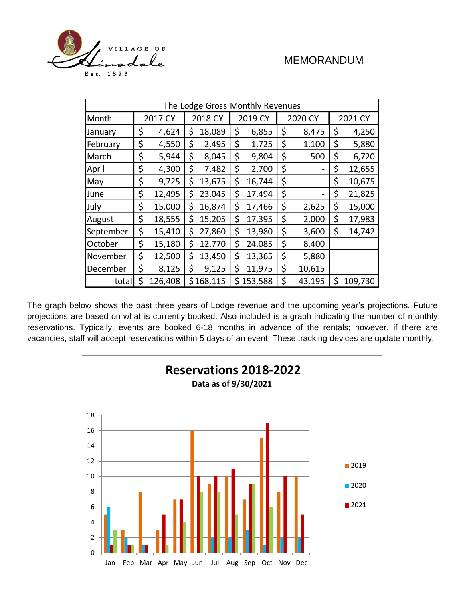

| The Lodge Gross Monthly Revenues |         |         |         |           |    |         |    |                          |         |         |  |
|----------------------------------|---------|---------|---------|-----------|----|---------|----|--------------------------|---------|---------|--|
| Month                            | 2017 CY |         | 2018 CY |           |    | 2019 CY |    | 2020 CY                  | 2021 CY |         |  |
| January                          | \$      | 4,624   | \$      | 18,089    | \$ | 6,855   | \$ | 8,475                    |         | 4,250   |  |
| February                         | \$      | 4,550   | \$      | 2,495     | \$ | 1,725   | \$ | 1,100                    | \$      | 5,880   |  |
| March                            | \$      | 5,944   | \$      | 8,045     | \$ | 9,804   | \$ | 500                      | \$      | 6,720   |  |
| April                            | \$      | 4,300   | \$      | 7,482     | \$ | 2,700   | \$ |                          | \$      | 12,655  |  |
| May                              | \$      | 9,725   | \$      | 13,675    | \$ | 16,744  | \$ | $\overline{\phantom{0}}$ | \$      | 10,675  |  |
| June                             | \$      | 12,495  | \$      | 23,045    | \$ | 17,494  | \$ | -                        | \$      | 21,825  |  |
| July                             | \$      | 15,000  | \$      | 16,874    | \$ | 17,466  | \$ | 2,625                    | \$      | 15,000  |  |
| August                           | \$      | 18,555  | \$      | 15,205    | \$ | 17,395  | \$ | 2,000                    | \$      | 17,983  |  |
| September                        | \$      | 15,410  | \$      | 27,860    | \$ | 13,980  | \$ | 3,600                    | \$      | 14,742  |  |
| October                          | \$      | 15,180  | \$      | 12,770    | \$ | 24,085  | \$ | 8,400                    |         |         |  |
| November                         | \$      | 12,500  | \$      | 13,450    | \$ | 13,365  | \$ | 5,880                    |         |         |  |
| December                         | \$      | 8,125   | \$      | 9,125     | \$ | 11,975  | \$ | 10,615                   |         |         |  |
| total                            | \$      | 126,408 |         | \$168,115 | \$ | 153,588 | \$ | 43,195                   | \$      | 109,730 |  |

The graph below shows the past three years of Lodge revenue and the upcoming year's projections. Future projections are based on what is currently booked. Also included is a graph indicating the number of monthly reservations. Typically, events are booked 6-18 months in advance of the rentals; however, if there are vacancies, staff will accept reservations within 5 days of an event. These tracking devices are update monthly.

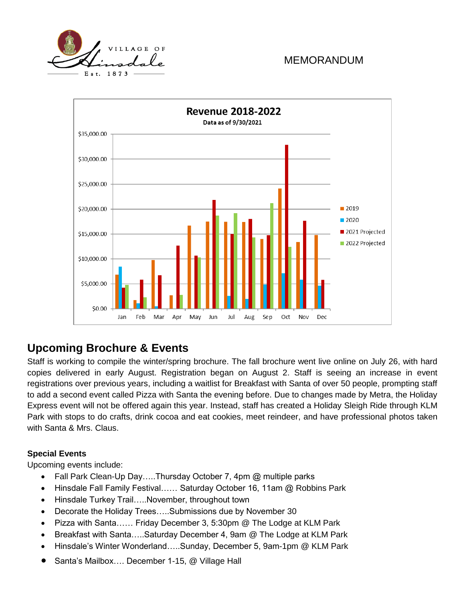



# **Upcoming Brochure & Events**

Staff is working to compile the winter/spring brochure. The fall brochure went live online on July 26, with hard copies delivered in early August. Registration began on August 2. Staff is seeing an increase in event registrations over previous years, including a waitlist for Breakfast with Santa of over 50 people, prompting staff to add a second event called Pizza with Santa the evening before. Due to changes made by Metra, the Holiday Express event will not be offered again this year. Instead, staff has created a Holiday Sleigh Ride through KLM Park with stops to do crafts, drink cocoa and eat cookies, meet reindeer, and have professional photos taken with Santa & Mrs. Claus.

#### **Special Events**

Upcoming events include:

- Fall Park Clean-Up Day…..Thursday October 7, 4pm @ multiple parks
- Hinsdale Fall Family Festival...... Saturday October 16, 11am @ Robbins Park
- Hinsdale Turkey Trail…..November, throughout town
- Decorate the Holiday Trees…..Submissions due by November 30
- Pizza with Santa…… Friday December 3, 5:30pm @ The Lodge at KLM Park
- Breakfast with Santa…..Saturday December 4, 9am @ The Lodge at KLM Park
- Hinsdale's Winter Wonderland…..Sunday, December 5, 9am-1pm @ KLM Park
- Santa's Mailbox…. December 1-15, @ Village Hall